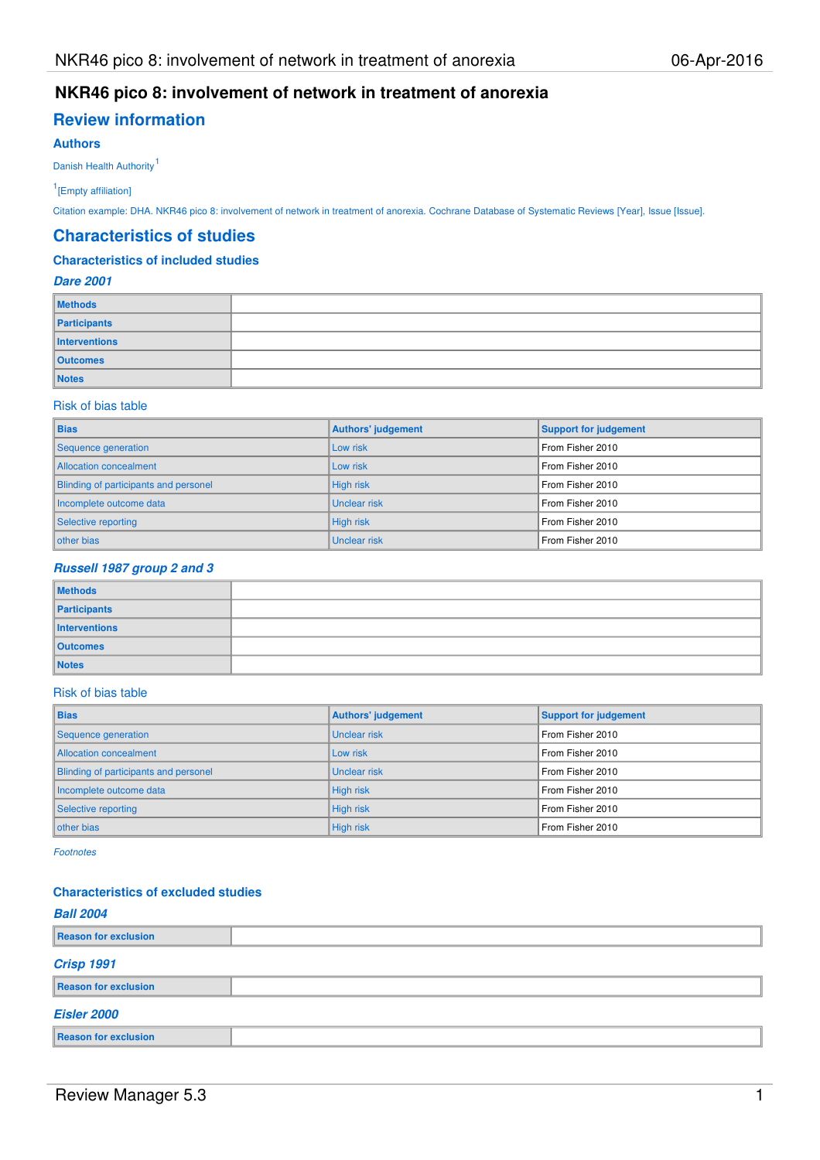## **Review information**

## **Authors**

Danish Health Authority<sup>1</sup>

1 [Empty affiliation]

Citation example: DHA. NKR46 pico 8: involvement of network in treatment of anorexia. Cochrane Database of Systematic Reviews [Year], Issue [Issue].

#### **Characteristics of studies**

#### **Characteristics of included studies**

#### **Dare 2001**

| <b>Methods</b>  |  |
|-----------------|--|
| Participants    |  |
| Interventions   |  |
| <b>Outcomes</b> |  |
| <b>Notes</b>    |  |

#### Risk of bias table

| <b>Bias</b>                           | Authors' judgement  | <b>Support for judgement</b> |
|---------------------------------------|---------------------|------------------------------|
| Sequence generation                   | Low risk            | From Fisher 2010             |
| Allocation concealment                | Low risk            | From Fisher 2010             |
| Blinding of participants and personel | High risk           | From Fisher 2010             |
| Incomplete outcome data               | <b>Unclear risk</b> | From Fisher 2010             |
| Selective reporting                   | High risk           | From Fisher 2010             |
| other bias                            | <b>Unclear risk</b> | From Fisher 2010             |

#### **Russell 1987 group 2 and 3**

| <b>Methods</b>  |  |
|-----------------|--|
| Participants    |  |
| Interventions   |  |
| <b>Outcomes</b> |  |
| <b>Notes</b>    |  |

#### Risk of bias table

| <b>Bias</b>                                  | Authors' judgement  | <b>Support for judgement</b> |
|----------------------------------------------|---------------------|------------------------------|
| Sequence generation                          | <b>Unclear risk</b> | From Fisher 2010             |
| Allocation concealment                       | Low risk            | From Fisher 2010             |
| <b>Blinding of participants and personel</b> | <b>Unclear risk</b> | From Fisher 2010             |
| Incomplete outcome data                      | High risk           | From Fisher 2010             |
| Selective reporting                          | High risk           | From Fisher 2010             |
| other bias                                   | High risk           | From Fisher 2010             |

Footnotes

#### **Characteristics of excluded studies**

| <b>Ball 2004</b>            |  |  |  |  |  |  |
|-----------------------------|--|--|--|--|--|--|
| Reason for exclusion        |  |  |  |  |  |  |
| <b>Crisp 1991</b>           |  |  |  |  |  |  |
| <b>Reason for exclusion</b> |  |  |  |  |  |  |
| <b>Eisler 2000</b>          |  |  |  |  |  |  |
| <b>Reason for exclusion</b> |  |  |  |  |  |  |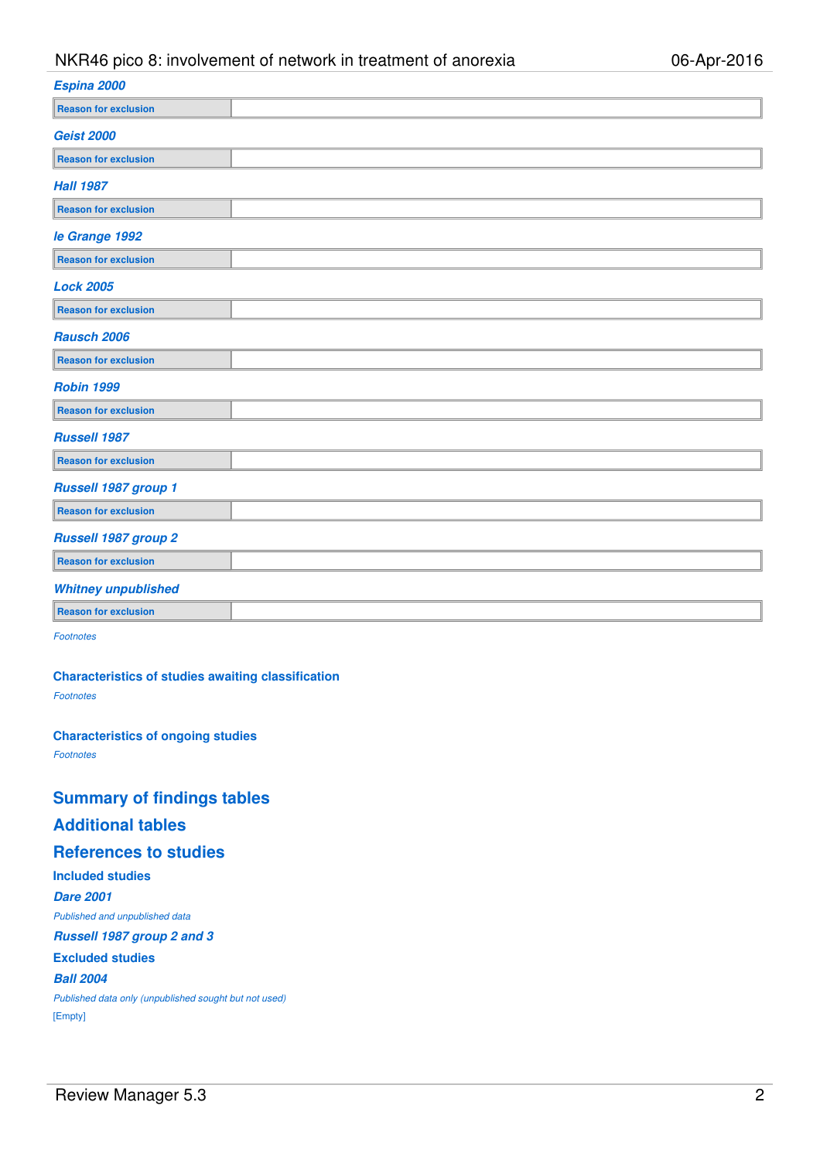| Espina 2000                 |  |
|-----------------------------|--|
| <b>Reason for exclusion</b> |  |
| <b>Geist 2000</b>           |  |
| <b>Reason for exclusion</b> |  |
| <b>Hall 1987</b>            |  |
| <b>Reason for exclusion</b> |  |
| le Grange 1992              |  |
| <b>Reason for exclusion</b> |  |
| <b>Lock 2005</b>            |  |
| <b>Reason for exclusion</b> |  |
| <b>Rausch 2006</b>          |  |
| <b>Reason for exclusion</b> |  |
| <b>Robin 1999</b>           |  |
| <b>Reason for exclusion</b> |  |
| <b>Russell 1987</b>         |  |
| <b>Reason for exclusion</b> |  |
| Russell 1987 group 1        |  |
| <b>Reason for exclusion</b> |  |
| <b>Russell 1987 group 2</b> |  |
| <b>Reason for exclusion</b> |  |
| <b>Whitney unpublished</b>  |  |
| <b>Reason for exclusion</b> |  |
| .                           |  |

**Footnotes** 

**Characteristics of studies awaiting classification**

Footnotes

**Characteristics of ongoing studies**

Footnotes

# **Summary of findings tables**

## **Additional tables**

## **References to studies**

**Included studies**

**Dare 2001**

Published and unpublished data

**Russell 1987 group 2 and 3**

## **Excluded studies**

**Ball 2004**

Published data only (unpublished sought but not used) [Empty]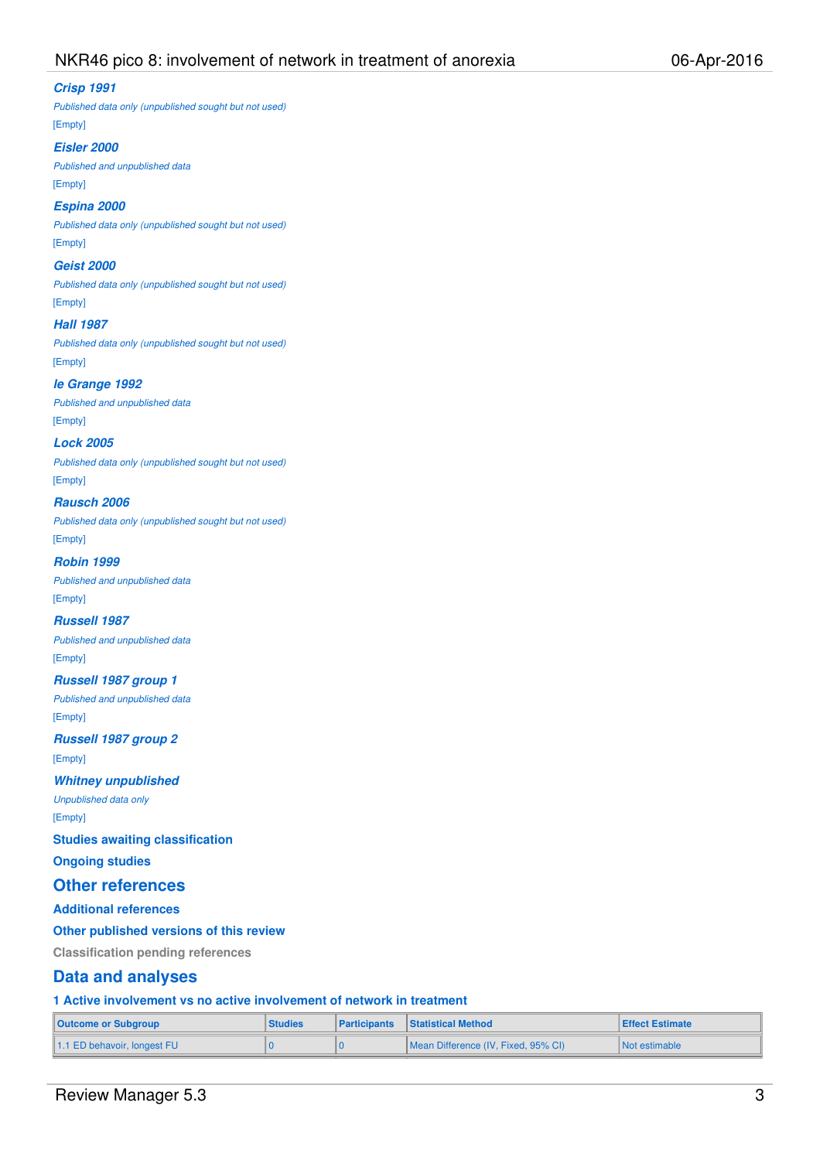#### **Crisp 1991**

Published data only (unpublished sought but not used) [Empty]

#### **Eisler 2000**

Published and unpublished data

[Empty]

## **Espina 2000**

Published data only (unpublished sought but not used) [Empty]

# **Geist 2000**

Published data only (unpublished sought but not used) [Empty]

## **Hall 1987**

Published data only (unpublished sought but not used) [Empty]

#### **le Grange 1992**

Published and unpublished data [Empty]

#### **Lock 2005**

Published data only (unpublished sought but not used) [Empty]

#### **Rausch 2006**

Published data only (unpublished sought but not used) [Empty]

#### **Robin 1999**

Published and unpublished data [Empty]

#### **Russell 1987**

Published and unpublished data [Empty]

### **Russell 1987 group 1**

Published and unpublished data [Empty]

#### **Russell 1987 group 2** [Empty]

## **Whitney unpublished**

Unpublished data only

[Empty]

#### **Studies awaiting classification**

**Ongoing studies**

#### **Other references**

#### **Additional references**

#### **Other published versions of this review**

**Classification pending references**

## **Data and analyses**

**1 Active involvement vs no active involvement of network in treatment**

| Outcome or Subgroup                     | <b>Studies</b> | <b>Participants</b> Statistical Method | <b>Effect Estimate</b> |  |
|-----------------------------------------|----------------|----------------------------------------|------------------------|--|
| $\parallel$ 1.1 ED behavoir, longest FU |                | Mean Difference (IV, Fixed, 95% CI)    | I Not estimable        |  |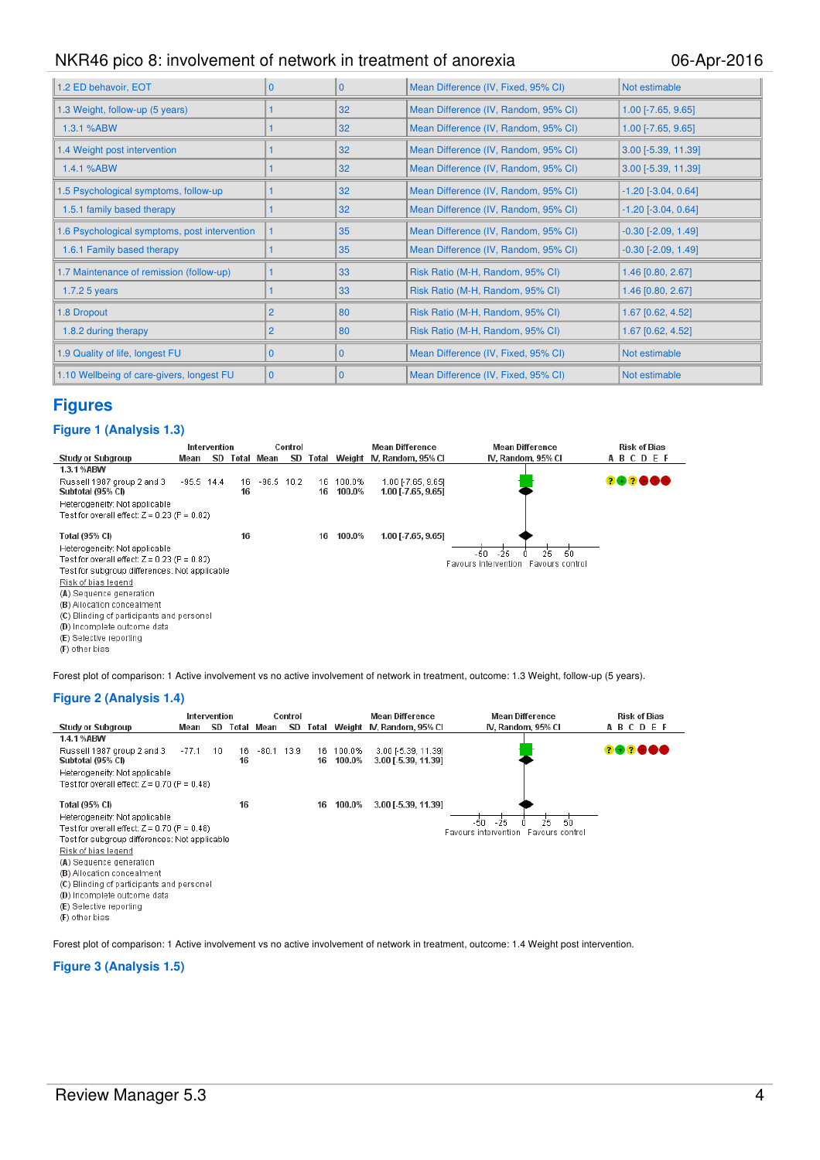| 1.2 ED behavoir, EOT                          | <sup>0</sup>   | $\Omega$     | Mean Difference (IV, Fixed, 95% CI)  | Not estimable                |
|-----------------------------------------------|----------------|--------------|--------------------------------------|------------------------------|
| 1.3 Weight, follow-up (5 years)               |                | 32           | Mean Difference (IV, Random, 95% CI) | $1.00$ [-7.65, 9.65]         |
| 1.3.1 %ABW                                    |                | 32           | Mean Difference (IV, Random, 95% CI) | $1.00$ [-7.65, 9.65]         |
| 1.4 Weight post intervention                  |                | 32           | Mean Difference (IV, Random, 95% CI) | $3.00$ [-5.39, 11.39]        |
| 1.4.1 %ABW                                    |                | 32           | Mean Difference (IV, Random, 95% CI) | $3.00$ [-5.39, 11.39]        |
| 1.5 Psychological symptoms, follow-up         |                | 32           | Mean Difference (IV, Random, 95% CI) | $-1.20$ [ $-3.04$ , $0.64$ ] |
| 1.5.1 family based therapy                    |                | 32           | Mean Difference (IV, Random, 95% CI) | $-1.20$ [ $-3.04$ , $0.64$ ] |
| 1.6 Psychological symptoms, post intervention |                | 35           | Mean Difference (IV, Random, 95% CI) | $-0.30$ [ $-2.09$ , 1.49]    |
| 1.6.1 Family based therapy                    |                | 35           | Mean Difference (IV, Random, 95% CI) | $-0.30$ $[-2.09, 1.49]$      |
| 1.7 Maintenance of remission (follow-up)      |                | 33           | Risk Ratio (M-H, Random, 95% CI)     | 1.46 [0.80, 2.67]            |
| 1.7.2 $5$ years                               |                | 33           | Risk Ratio (M-H, Random, 95% CI)     | 1.46 [0.80, 2.67]            |
| 1.8 Dropout                                   | $\overline{2}$ | 80           | Risk Ratio (M-H, Random, 95% CI)     | 1.67 [0.62, 4.52]            |
| 1.8.2 during therapy                          | 2              | 80           | Risk Ratio (M-H, Random, 95% CI)     | 1.67 [0.62, 4.52]            |
| 1.9 Quality of life, longest FU               | $\Omega$       | $\Omega$     | Mean Difference (IV, Fixed, 95% CI)  | Not estimable                |
| 1.10 Wellbeing of care-givers, longest FU     | $\overline{0}$ | $\mathbf{0}$ | Mean Difference (IV, Fixed, 95% CI)  | Not estimable                |

## **Figures**

#### **Figure 1 (Analysis 1.3)**



Forest plot of comparison: 1 Active involvement vs no active involvement of network in treatment, outcome: 1.3 Weight, follow-up (5 years).

#### **Figure 2 (Analysis 1.4)**

|                                                 | Intervention |    |          |         | Control |          |                  | <b>Mean Difference</b>                     | <b>Mean Difference</b>               | <b>Risk of Bias</b> |
|-------------------------------------------------|--------------|----|----------|---------|---------|----------|------------------|--------------------------------------------|--------------------------------------|---------------------|
| <b>Study or Subgroup</b>                        | Mean         | SD | Total    | Mean    | SD      | Total    |                  | Weight N, Random, 95% CI                   | IV, Random, 95% CI                   | ABCDEF              |
| 1.4.1%ABW                                       |              |    |          |         |         |          |                  |                                            |                                      |                     |
| Russell 1987 group 2 and 3<br>Subtotal (95% CI) | $-77.1$      | 10 | 16<br>16 | $-80.1$ | 13.9    | 16<br>16 | 100.0%<br>100.0% | 3.00 [-5.39, 11.39]<br>3.00 [-5.39, 11.39] |                                      | 282880              |
| Heterogeneity: Not applicable                   |              |    |          |         |         |          |                  |                                            |                                      |                     |
| Test for overall effect: $Z = 0.70$ (P = 0.48)  |              |    |          |         |         |          |                  |                                            |                                      |                     |
| Total (95% CI)                                  |              |    | 16       |         |         | 16       | 100.0%           | 3.00 [-5.39, 11.39]                        |                                      |                     |
| Heterogeneity: Not applicable                   |              |    |          |         |         |          |                  |                                            | 25.<br>-50<br>$-25$<br>-50           |                     |
| Test for overall effect: $Z$ = 0.70 (P = 0.48)  |              |    |          |         |         |          |                  |                                            | Favours intervention Favours control |                     |
| Test for subgroup differences: Not applicable.  |              |    |          |         |         |          |                  |                                            |                                      |                     |
| Risk of bias legend                             |              |    |          |         |         |          |                  |                                            |                                      |                     |
| (A) Sequence generation                         |              |    |          |         |         |          |                  |                                            |                                      |                     |
| (B) Allocation concealment                      |              |    |          |         |         |          |                  |                                            |                                      |                     |
| (C) Blinding of participants and personel       |              |    |          |         |         |          |                  |                                            |                                      |                     |
| (D) Incomplete outcome data                     |              |    |          |         |         |          |                  |                                            |                                      |                     |
| (E) Selective reporting                         |              |    |          |         |         |          |                  |                                            |                                      |                     |
| (F) other bias                                  |              |    |          |         |         |          |                  |                                            |                                      |                     |

Forest plot of comparison: 1 Active involvement vs no active involvement of network in treatment, outcome: 1.4 Weight post intervention.

#### **Figure 3 (Analysis 1.5)**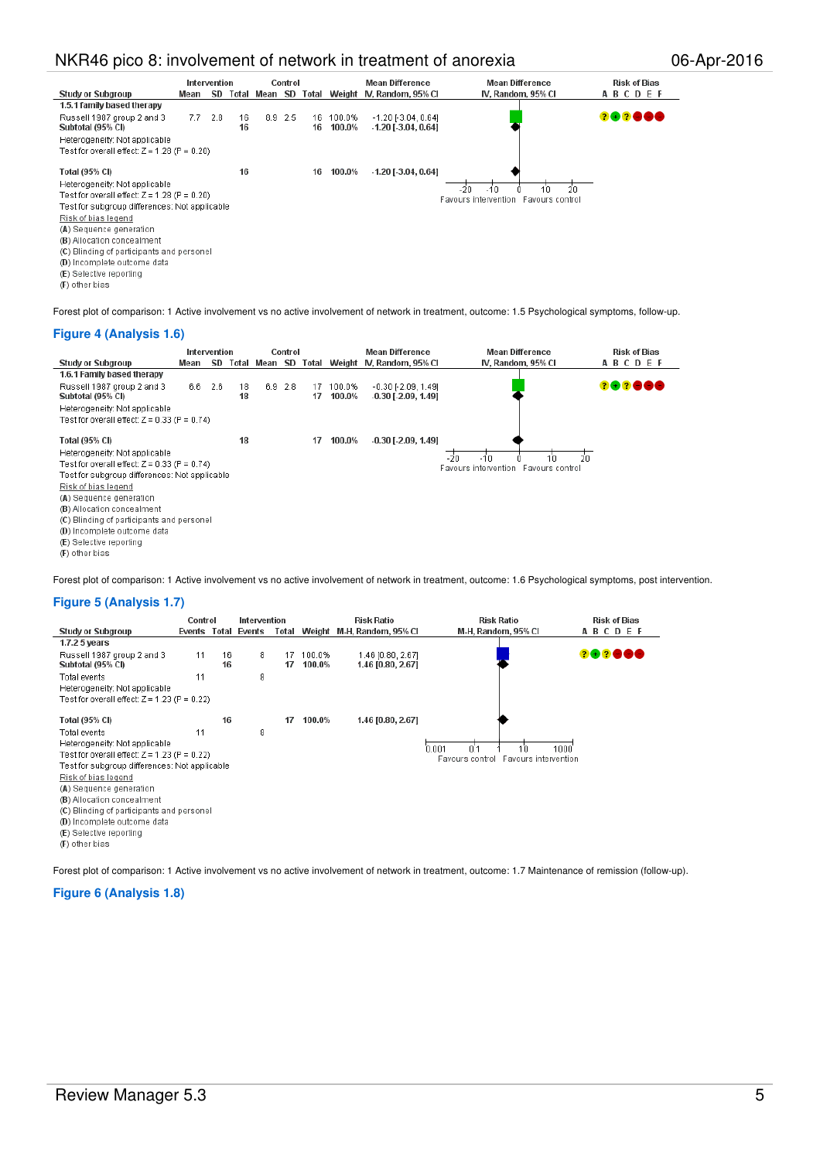|                                                | Intervention |     |       |         | Control |       |        | <b>Mean Difference</b>       | <b>Mean Difference</b>               | <b>Risk of Bias</b> |
|------------------------------------------------|--------------|-----|-------|---------|---------|-------|--------|------------------------------|--------------------------------------|---------------------|
| <b>Study or Subgroup</b>                       | Mean         | SD  | Total | Mean SD |         | Total |        | Weight IV, Random, 95% CI    | IV, Random, 95% CI                   | ABCDEF              |
| 1.5.1 family based therapy                     |              |     |       |         |         |       |        |                              |                                      |                     |
| Russell 1987 group 2 and 3                     | 7.7          | 2.8 | 16    |         | 8.9 2.5 | 16    | 100.0% | $-1.20$ [ $-3.04$ , $0.64$ ] |                                      | 202000              |
| Subtotal (95% CI)                              |              |     | 16    |         |         | 16    | 100.0% | $-1.20$ [ $-3.04$ , 0.64]    |                                      |                     |
| Heterogeneity: Not applicable                  |              |     |       |         |         |       |        |                              |                                      |                     |
| Test for overall effect: Z = 1.28 (P = 0.20)   |              |     |       |         |         |       |        |                              |                                      |                     |
|                                                |              |     |       |         |         |       |        |                              |                                      |                     |
| Total (95% CI)                                 |              |     | 16    |         |         | 16    | 100.0% | $-1.20$ [ $-3.04$ , $0.64$ ] |                                      |                     |
| Heterogeneity: Not applicable                  |              |     |       |         |         |       |        |                              | 20<br>-20<br>$-10$<br>10             |                     |
| Test for overall effect: $Z$ = 1.28 (P = 0.20) |              |     |       |         |         |       |        |                              | Favours intervention Favours control |                     |
| Test for subgroup differences: Not applicable. |              |     |       |         |         |       |        |                              |                                      |                     |
| Risk of bias legend                            |              |     |       |         |         |       |        |                              |                                      |                     |
| (A) Sequence generation                        |              |     |       |         |         |       |        |                              |                                      |                     |
| (B) Allocation concealment                     |              |     |       |         |         |       |        |                              |                                      |                     |
| (C) Blinding of participants and personel      |              |     |       |         |         |       |        |                              |                                      |                     |
| (D) Incomplete outcome data                    |              |     |       |         |         |       |        |                              |                                      |                     |
| (E) Selective reporting                        |              |     |       |         |         |       |        |                              |                                      |                     |
| (F) other bias                                 |              |     |       |         |         |       |        |                              |                                      |                     |

Forest plot of comparison: 1 Active involvement vs no active involvement of network in treatment, outcome: 1.5 Psychological symptoms, follow-up.

#### **Figure 4 (Analysis 1.6)**

|                                                                                                                                                                                                                                                                                 | Intervention |           |          |         | Control   |          |                  | <b>Mean Difference</b>                                 | <b>Mean Difference</b>                                                | <b>Risk of Bias</b> |
|---------------------------------------------------------------------------------------------------------------------------------------------------------------------------------------------------------------------------------------------------------------------------------|--------------|-----------|----------|---------|-----------|----------|------------------|--------------------------------------------------------|-----------------------------------------------------------------------|---------------------|
| Study or Subgroup                                                                                                                                                                                                                                                               | Mean         | <b>SD</b> | Total    | Mean SD |           | Total    |                  | Weight N. Random, 95% CI                               | IV, Random, 95% CI                                                    | ABCDEF              |
| 1.6.1 Family based therapy                                                                                                                                                                                                                                                      |              |           |          |         |           |          |                  |                                                        |                                                                       |                     |
| Russell 1987 group 2 and 3<br>Subtotal (95% CI)                                                                                                                                                                                                                                 | 6.6          | 2.6       | 18<br>18 |         | $6.9$ 2.8 | 17<br>17 | 100.0%<br>100.0% | $-0.30$ [ $-2.09$ , 1.49]<br>$-0.30$ [ $-2.09$ , 1.49] |                                                                       | 282888              |
| Heterogeneity: Not applicable                                                                                                                                                                                                                                                   |              |           |          |         |           |          |                  |                                                        |                                                                       |                     |
| Test for overall effect: $Z = 0.33$ (P = 0.74)                                                                                                                                                                                                                                  |              |           |          |         |           |          |                  |                                                        |                                                                       |                     |
| Total (95% CI)<br>Heterogeneity: Not applicable<br>Test for overall effect: $Z = 0.33$ (P = 0.74)<br>Test for subgroup differences: Not applicable<br>Risk of bias legend<br>(A) Sequence generation<br>(B) Allocation concealment<br>(C) Blinding of participants and personel |              |           | 18       |         |           | 17       | 100.0%           | $-0.30$ [ $-2.09$ , 1.49]                              | 20<br>$-20$<br>$-10$<br>10<br>Favours intervention<br>Favours control |                     |
| (D) Incomplete outcome data<br>(E) Selective reporting<br>(F) other bias                                                                                                                                                                                                        |              |           |          |         |           |          |                  |                                                        |                                                                       |                     |

Forest plot of comparison: 1 Active involvement vs no active involvement of network in treatment, outcome: 1.6 Psychological symptoms, post intervention.

#### **Figure 5 (Analysis 1.7)**

|                                                 | Control |          | Intervention        |          |                  | <b>Risk Ratio</b>                      | <b>Risk Ratio</b>                       | <b>Risk of Bias</b> |
|-------------------------------------------------|---------|----------|---------------------|----------|------------------|----------------------------------------|-----------------------------------------|---------------------|
| <b>Study or Subgroup</b>                        |         |          | Events Total Events | Total    |                  | Weight M-H, Random, 95% CI             | M-H, Random, 95% CI                     | ABCDEF              |
| 1.7.2 5 years                                   |         |          |                     |          |                  |                                        |                                         |                     |
| Russell 1987 group 2 and 3<br>Subtotal (95% CI) | 11      | 16<br>16 | 8                   | 17<br>17 | 100.0%<br>100.0% | 1.46 [0.80, 2.67]<br>1.46 [0.80, 2.67] |                                         | 202000              |
|                                                 |         |          |                     |          |                  |                                        |                                         |                     |
| Total events                                    | 11      |          | 8                   |          |                  |                                        |                                         |                     |
| Heterogeneity: Not applicable                   |         |          |                     |          |                  |                                        |                                         |                     |
| Test for overall effect: $Z = 1.23$ (P = 0.22)  |         |          |                     |          |                  |                                        |                                         |                     |
|                                                 |         |          |                     |          |                  |                                        |                                         |                     |
| Total (95% CI)                                  |         | 16       |                     | 17       | 100.0%           | 1.46 [0.80, 2.67]                      |                                         |                     |
| Total events                                    | 11      |          | 8                   |          |                  |                                        |                                         |                     |
| Heterogeneity: Not applicable                   |         |          |                     |          |                  |                                        | 0.001<br>0.1<br>1000<br>10              |                     |
| Test for overall effect: $Z = 1.23$ (P = 0.22)  |         |          |                     |          |                  |                                        | Favours intervention<br>Favours control |                     |
| Test for subgroup differences: Not applicable   |         |          |                     |          |                  |                                        |                                         |                     |
| Risk of bias legend                             |         |          |                     |          |                  |                                        |                                         |                     |
| (A) Sequence generation                         |         |          |                     |          |                  |                                        |                                         |                     |
| (B) Allocation concealment                      |         |          |                     |          |                  |                                        |                                         |                     |
| (C) Blinding of participants and personel       |         |          |                     |          |                  |                                        |                                         |                     |
| (D) Incomplete outcome data                     |         |          |                     |          |                  |                                        |                                         |                     |
| (E) Selective reporting                         |         |          |                     |          |                  |                                        |                                         |                     |
| (F) other bias                                  |         |          |                     |          |                  |                                        |                                         |                     |

Forest plot of comparison: 1 Active involvement vs no active involvement of network in treatment, outcome: 1.7 Maintenance of remission (follow-up).

#### **Figure 6 (Analysis 1.8)**